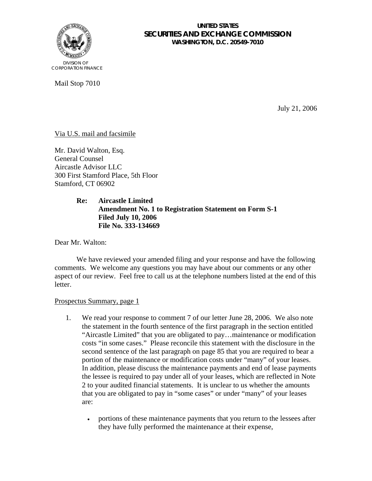

#### **UNITED STATES SECURITIES AND EXCHANGE COMMISSION WASHINGTON, D.C. 20549-7010**

Mail Stop 7010

July 21, 2006

## Via U.S. mail and facsimile

Mr. David Walton, Esq. General Counsel Aircastle Advisor LLC 300 First Stamford Place, 5th Floor Stamford, CT 06902

## **Re: Aircastle Limited Amendment No. 1 to Registration Statement on Form S-1 Filed July 10, 2006 File No. 333-134669**

Dear Mr. Walton:

We have reviewed your amended filing and your response and have the following comments. We welcome any questions you may have about our comments or any other aspect of our review. Feel free to call us at the telephone numbers listed at the end of this letter.

#### Prospectus Summary, page 1

- 1. We read your response to comment 7 of our letter June 28, 2006. We also note the statement in the fourth sentence of the first paragraph in the section entitled "Aircastle Limited" that you are obligated to pay…maintenance or modification costs "in some cases." Please reconcile this statement with the disclosure in the second sentence of the last paragraph on page 85 that you are required to bear a portion of the maintenance or modification costs under "many" of your leases. In addition, please discuss the maintenance payments and end of lease payments the lessee is required to pay under all of your leases, which are reflected in Note 2 to your audited financial statements. It is unclear to us whether the amounts that you are obligated to pay in "some cases" or under "many" of your leases are:
	- portions of these maintenance payments that you return to the lessees after they have fully performed the maintenance at their expense,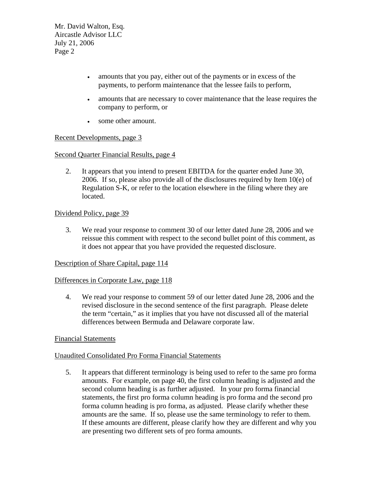Mr. David Walton, Esq. Aircastle Advisor LLC July 21, 2006 Page 2

- amounts that you pay, either out of the payments or in excess of the payments, to perform maintenance that the lessee fails to perform,
- amounts that are necessary to cover maintenance that the lease requires the company to perform, or
- some other amount.

## Recent Developments, page 3

## Second Quarter Financial Results, page 4

2. It appears that you intend to present EBITDA for the quarter ended June 30, 2006. If so, please also provide all of the disclosures required by Item  $10(e)$  of Regulation S-K, or refer to the location elsewhere in the filing where they are located.

## Dividend Policy, page 39

3. We read your response to comment 30 of our letter dated June 28, 2006 and we reissue this comment with respect to the second bullet point of this comment, as it does not appear that you have provided the requested disclosure.

#### Description of Share Capital, page 114

#### Differences in Corporate Law, page 118

4. We read your response to comment 59 of our letter dated June 28, 2006 and the revised disclosure in the second sentence of the first paragraph. Please delete the term "certain," as it implies that you have not discussed all of the material differences between Bermuda and Delaware corporate law.

# Financial Statements

# Unaudited Consolidated Pro Forma Financial Statements

5. It appears that different terminology is being used to refer to the same pro forma amounts. For example, on page 40, the first column heading is adjusted and the second column heading is as further adjusted. In your pro forma financial statements, the first pro forma column heading is pro forma and the second pro forma column heading is pro forma, as adjusted. Please clarify whether these amounts are the same. If so, please use the same terminology to refer to them. If these amounts are different, please clarify how they are different and why you are presenting two different sets of pro forma amounts.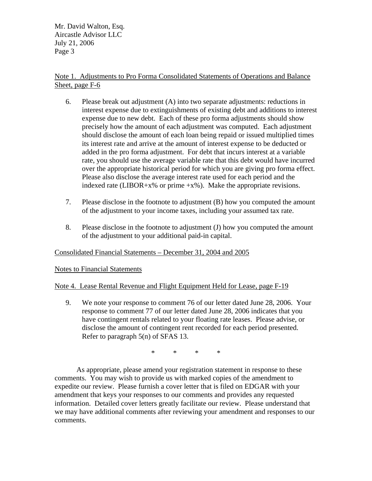Mr. David Walton, Esq. Aircastle Advisor LLC July 21, 2006 Page 3

## Note 1. Adjustments to Pro Forma Consolidated Statements of Operations and Balance Sheet, page F-6

- 6. Please break out adjustment (A) into two separate adjustments: reductions in interest expense due to extinguishments of existing debt and additions to interest expense due to new debt. Each of these pro forma adjustments should show precisely how the amount of each adjustment was computed. Each adjustment should disclose the amount of each loan being repaid or issued multiplied times its interest rate and arrive at the amount of interest expense to be deducted or added in the pro forma adjustment. For debt that incurs interest at a variable rate, you should use the average variable rate that this debt would have incurred over the appropriate historical period for which you are giving pro forma effect. Please also disclose the average interest rate used for each period and the indexed rate (LIBOR+x% or prime  $+x$ %). Make the appropriate revisions.
- 7. Please disclose in the footnote to adjustment (B) how you computed the amount of the adjustment to your income taxes, including your assumed tax rate.
- 8. Please disclose in the footnote to adjustment (J) how you computed the amount of the adjustment to your additional paid-in capital.

# Consolidated Financial Statements – December 31, 2004 and 2005

Notes to Financial Statements

# Note 4. Lease Rental Revenue and Flight Equipment Held for Lease, page F-19

9. We note your response to comment 76 of our letter dated June 28, 2006. Your response to comment 77 of our letter dated June 28, 2006 indicates that you have contingent rentals related to your floating rate leases. Please advise, or disclose the amount of contingent rent recorded for each period presented. Refer to paragraph 5(n) of SFAS 13.

\* \* \* \*

As appropriate, please amend your registration statement in response to these comments. You may wish to provide us with marked copies of the amendment to expedite our review. Please furnish a cover letter that is filed on EDGAR with your amendment that keys your responses to our comments and provides any requested information. Detailed cover letters greatly facilitate our review. Please understand that we may have additional comments after reviewing your amendment and responses to our comments.